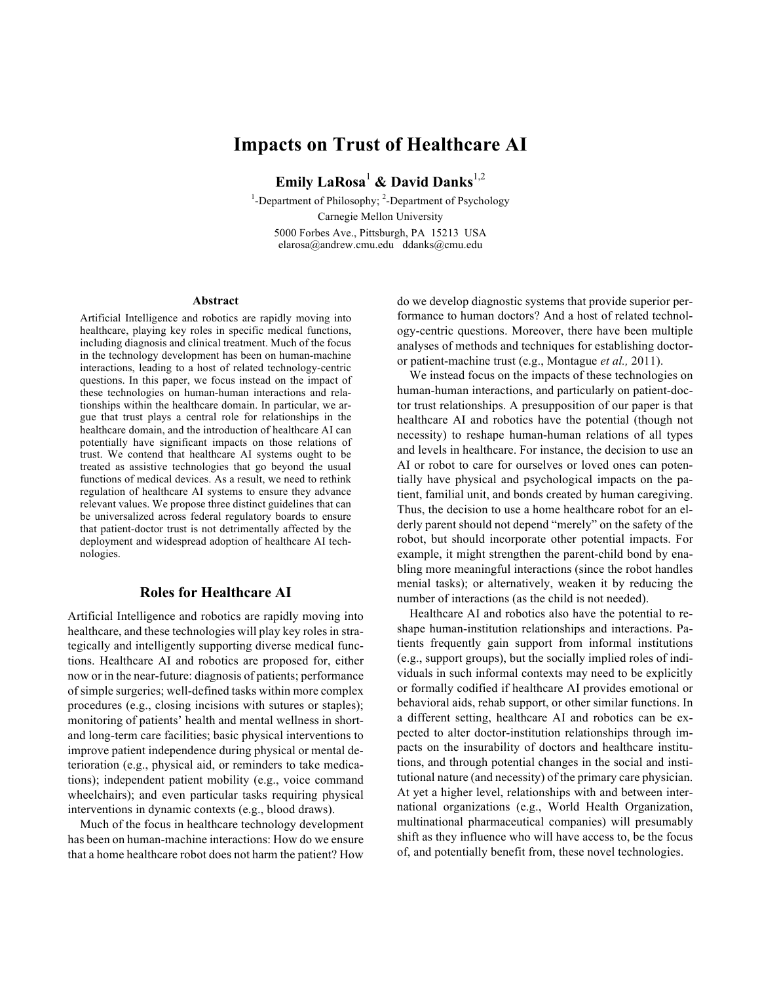# **Impacts on Trust of Healthcare AI**

**Emily LaRosa**<sup>1</sup> **& David Danks**1,2

<sup>1</sup>-Department of Philosophy;  ${}^{2}$ -Department of Psychology Carnegie Mellon University 5000 Forbes Ave., Pittsburgh, PA 15213 USA elarosa@andrew.cmu.edu ddanks@cmu.edu

#### **Abstract**

Artificial Intelligence and robotics are rapidly moving into healthcare, playing key roles in specific medical functions, including diagnosis and clinical treatment. Much of the focus in the technology development has been on human-machine interactions, leading to a host of related technology-centric questions. In this paper, we focus instead on the impact of these technologies on human-human interactions and relationships within the healthcare domain. In particular, we argue that trust plays a central role for relationships in the healthcare domain, and the introduction of healthcare AI can potentially have significant impacts on those relations of trust. We contend that healthcare AI systems ought to be treated as assistive technologies that go beyond the usual functions of medical devices. As a result, we need to rethink regulation of healthcare AI systems to ensure they advance relevant values. We propose three distinct guidelines that can be universalized across federal regulatory boards to ensure that patient-doctor trust is not detrimentally affected by the deployment and widespread adoption of healthcare AI technologies.

# **Roles for Healthcare AI**

Artificial Intelligence and robotics are rapidly moving into healthcare, and these technologies will play key roles in strategically and intelligently supporting diverse medical functions. Healthcare AI and robotics are proposed for, either now or in the near-future: diagnosis of patients; performance of simple surgeries; well-defined tasks within more complex procedures (e.g., closing incisions with sutures or staples); monitoring of patients' health and mental wellness in shortand long-term care facilities; basic physical interventions to improve patient independence during physical or mental deterioration (e.g., physical aid, or reminders to take medications); independent patient mobility (e.g., voice command wheelchairs); and even particular tasks requiring physical interventions in dynamic contexts (e.g., blood draws).

Much of the focus in healthcare technology development has been on human-machine interactions: How do we ensure that a home healthcare robot does not harm the patient? How

do we develop diagnostic systems that provide superior performance to human doctors? And a host of related technology-centric questions. Moreover, there have been multiple analyses of methods and techniques for establishing doctoror patient-machine trust (e.g., Montague *et al.,* 2011).

We instead focus on the impacts of these technologies on human-human interactions, and particularly on patient-doctor trust relationships. A presupposition of our paper is that healthcare AI and robotics have the potential (though not necessity) to reshape human-human relations of all types and levels in healthcare. For instance, the decision to use an AI or robot to care for ourselves or loved ones can potentially have physical and psychological impacts on the patient, familial unit, and bonds created by human caregiving. Thus, the decision to use a home healthcare robot for an elderly parent should not depend "merely" on the safety of the robot, but should incorporate other potential impacts. For example, it might strengthen the parent-child bond by enabling more meaningful interactions (since the robot handles menial tasks); or alternatively, weaken it by reducing the number of interactions (as the child is not needed).

Healthcare AI and robotics also have the potential to reshape human-institution relationships and interactions. Patients frequently gain support from informal institutions (e.g., support groups), but the socially implied roles of individuals in such informal contexts may need to be explicitly or formally codified if healthcare AI provides emotional or behavioral aids, rehab support, or other similar functions. In a different setting, healthcare AI and robotics can be expected to alter doctor-institution relationships through impacts on the insurability of doctors and healthcare institutions, and through potential changes in the social and institutional nature (and necessity) of the primary care physician. At yet a higher level, relationships with and between international organizations (e.g., World Health Organization, multinational pharmaceutical companies) will presumably shift as they influence who will have access to, be the focus of, and potentially benefit from, these novel technologies.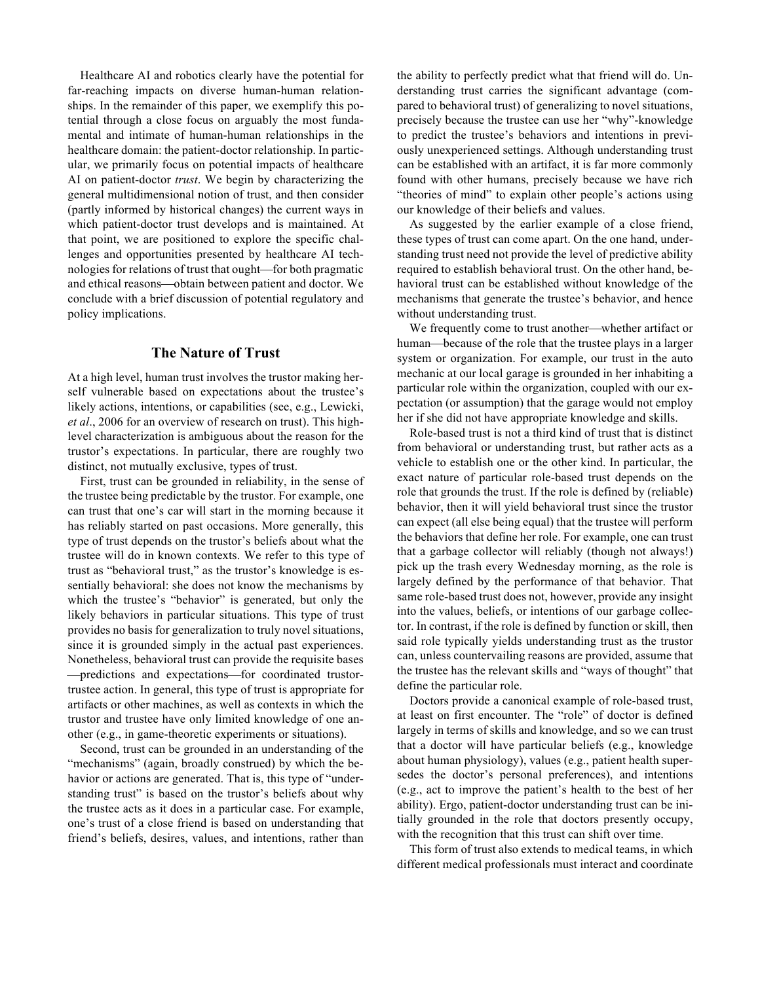Healthcare AI and robotics clearly have the potential for far-reaching impacts on diverse human-human relationships. In the remainder of this paper, we exemplify this potential through a close focus on arguably the most fundamental and intimate of human-human relationships in the healthcare domain: the patient-doctor relationship. In particular, we primarily focus on potential impacts of healthcare AI on patient-doctor *trust*. We begin by characterizing the general multidimensional notion of trust, and then consider (partly informed by historical changes) the current ways in which patient-doctor trust develops and is maintained. At that point, we are positioned to explore the specific challenges and opportunities presented by healthcare AI technologies for relations of trust that ought—for both pragmatic and ethical reasons—obtain between patient and doctor. We conclude with a brief discussion of potential regulatory and policy implications.

## **The Nature of Trust**

At a high level, human trust involves the trustor making herself vulnerable based on expectations about the trustee's likely actions, intentions, or capabilities (see, e.g., Lewicki, *et al*., 2006 for an overview of research on trust). This highlevel characterization is ambiguous about the reason for the trustor's expectations. In particular, there are roughly two distinct, not mutually exclusive, types of trust.

First, trust can be grounded in reliability, in the sense of the trustee being predictable by the trustor. For example, one can trust that one's car will start in the morning because it has reliably started on past occasions. More generally, this type of trust depends on the trustor's beliefs about what the trustee will do in known contexts. We refer to this type of trust as "behavioral trust," as the trustor's knowledge is essentially behavioral: she does not know the mechanisms by which the trustee's "behavior" is generated, but only the likely behaviors in particular situations. This type of trust provides no basis for generalization to truly novel situations, since it is grounded simply in the actual past experiences. Nonetheless, behavioral trust can provide the requisite bases -predictions and expectations-for coordinated trustortrustee action. In general, this type of trust is appropriate for artifacts or other machines, as well as contexts in which the trustor and trustee have only limited knowledge of one another (e.g., in game-theoretic experiments or situations).

Second, trust can be grounded in an understanding of the "mechanisms" (again, broadly construed) by which the behavior or actions are generated. That is, this type of "understanding trust" is based on the trustor's beliefs about why the trustee acts as it does in a particular case. For example, one's trust of a close friend is based on understanding that friend's beliefs, desires, values, and intentions, rather than the ability to perfectly predict what that friend will do. Understanding trust carries the significant advantage (compared to behavioral trust) of generalizing to novel situations, precisely because the trustee can use her "why"-knowledge to predict the trustee's behaviors and intentions in previously unexperienced settings. Although understanding trust can be established with an artifact, it is far more commonly found with other humans, precisely because we have rich "theories of mind" to explain other people's actions using our knowledge of their beliefs and values.

As suggested by the earlier example of a close friend, these types of trust can come apart. On the one hand, understanding trust need not provide the level of predictive ability required to establish behavioral trust. On the other hand, behavioral trust can be established without knowledge of the mechanisms that generate the trustee's behavior, and hence without understanding trust.

We frequently come to trust another—whether artifact or human—because of the role that the trustee plays in a larger system or organization. For example, our trust in the auto mechanic at our local garage is grounded in her inhabiting a particular role within the organization, coupled with our expectation (or assumption) that the garage would not employ her if she did not have appropriate knowledge and skills.

Role-based trust is not a third kind of trust that is distinct from behavioral or understanding trust, but rather acts as a vehicle to establish one or the other kind. In particular, the exact nature of particular role-based trust depends on the role that grounds the trust. If the role is defined by (reliable) behavior, then it will yield behavioral trust since the trustor can expect (all else being equal) that the trustee will perform the behaviors that define her role. For example, one can trust that a garbage collector will reliably (though not always!) pick up the trash every Wednesday morning, as the role is largely defined by the performance of that behavior. That same role-based trust does not, however, provide any insight into the values, beliefs, or intentions of our garbage collector. In contrast, if the role is defined by function or skill, then said role typically yields understanding trust as the trustor can, unless countervailing reasons are provided, assume that the trustee has the relevant skills and "ways of thought" that define the particular role.

Doctors provide a canonical example of role-based trust, at least on first encounter. The "role" of doctor is defined largely in terms of skills and knowledge, and so we can trust that a doctor will have particular beliefs (e.g., knowledge about human physiology), values (e.g., patient health supersedes the doctor's personal preferences), and intentions (e.g., act to improve the patient's health to the best of her ability). Ergo, patient-doctor understanding trust can be initially grounded in the role that doctors presently occupy, with the recognition that this trust can shift over time.

This form of trust also extends to medical teams, in which different medical professionals must interact and coordinate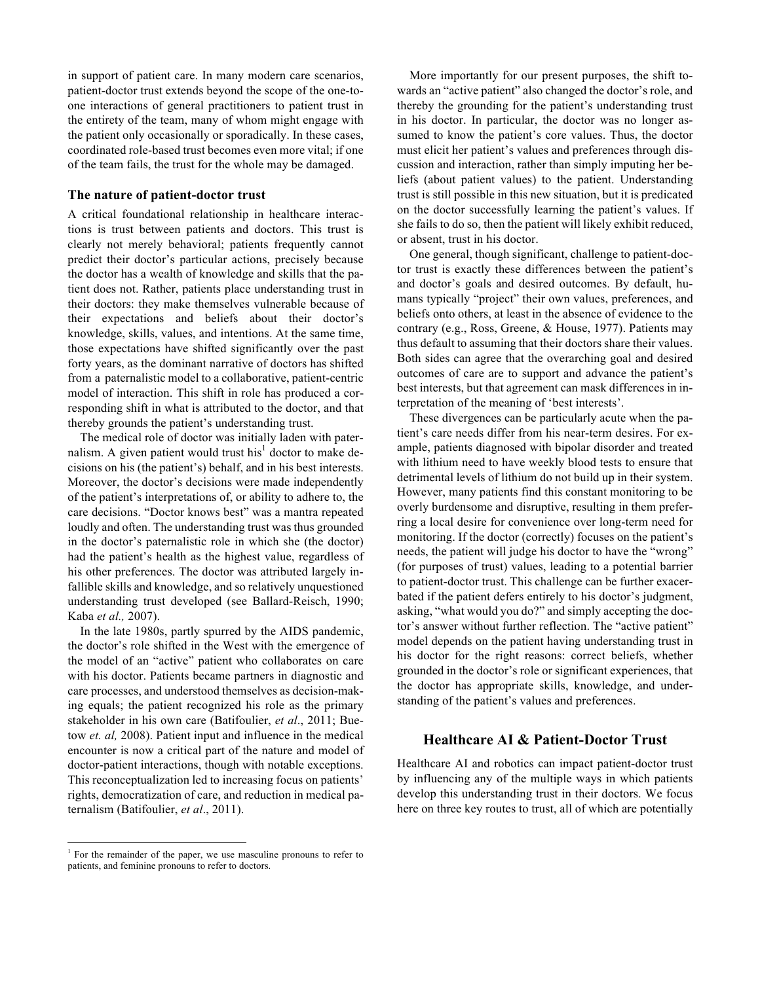in support of patient care. In many modern care scenarios, patient-doctor trust extends beyond the scope of the one-toone interactions of general practitioners to patient trust in the entirety of the team, many of whom might engage with the patient only occasionally or sporadically. In these cases, coordinated role-based trust becomes even more vital; if one of the team fails, the trust for the whole may be damaged.

#### **The nature of patient-doctor trust**

A critical foundational relationship in healthcare interactions is trust between patients and doctors. This trust is clearly not merely behavioral; patients frequently cannot predict their doctor's particular actions, precisely because the doctor has a wealth of knowledge and skills that the patient does not. Rather, patients place understanding trust in their doctors: they make themselves vulnerable because of their expectations and beliefs about their doctor's knowledge, skills, values, and intentions. At the same time, those expectations have shifted significantly over the past forty years, as the dominant narrative of doctors has shifted from a paternalistic model to a collaborative, patient-centric model of interaction. This shift in role has produced a corresponding shift in what is attributed to the doctor, and that thereby grounds the patient's understanding trust.

The medical role of doctor was initially laden with paternalism. A given patient would trust his $<sup>1</sup>$  doctor to make de-</sup> cisions on his (the patient's) behalf, and in his best interests. Moreover, the doctor's decisions were made independently of the patient's interpretations of, or ability to adhere to, the care decisions. "Doctor knows best" was a mantra repeated loudly and often. The understanding trust was thus grounded in the doctor's paternalistic role in which she (the doctor) had the patient's health as the highest value, regardless of his other preferences. The doctor was attributed largely infallible skills and knowledge, and so relatively unquestioned understanding trust developed (see Ballard-Reisch, 1990; Kaba *et al.,* 2007).

In the late 1980s, partly spurred by the AIDS pandemic, the doctor's role shifted in the West with the emergence of the model of an "active" patient who collaborates on care with his doctor. Patients became partners in diagnostic and care processes, and understood themselves as decision-making equals; the patient recognized his role as the primary stakeholder in his own care (Batifoulier, *et al*., 2011; Buetow *et. al,* 2008). Patient input and influence in the medical encounter is now a critical part of the nature and model of doctor-patient interactions, though with notable exceptions. This reconceptualization led to increasing focus on patients' rights, democratization of care, and reduction in medical paternalism (Batifoulier, *et al*., 2011).

More importantly for our present purposes, the shift towards an "active patient" also changed the doctor's role, and thereby the grounding for the patient's understanding trust in his doctor. In particular, the doctor was no longer assumed to know the patient's core values. Thus, the doctor must elicit her patient's values and preferences through discussion and interaction, rather than simply imputing her beliefs (about patient values) to the patient. Understanding trust is still possible in this new situation, but it is predicated on the doctor successfully learning the patient's values. If she fails to do so, then the patient will likely exhibit reduced, or absent, trust in his doctor.

One general, though significant, challenge to patient-doctor trust is exactly these differences between the patient's and doctor's goals and desired outcomes. By default, humans typically "project" their own values, preferences, and beliefs onto others, at least in the absence of evidence to the contrary (e.g., Ross, Greene, & House, 1977). Patients may thus default to assuming that their doctors share their values. Both sides can agree that the overarching goal and desired outcomes of care are to support and advance the patient's best interests, but that agreement can mask differences in interpretation of the meaning of 'best interests'.

These divergences can be particularly acute when the patient's care needs differ from his near-term desires. For example, patients diagnosed with bipolar disorder and treated with lithium need to have weekly blood tests to ensure that detrimental levels of lithium do not build up in their system. However, many patients find this constant monitoring to be overly burdensome and disruptive, resulting in them preferring a local desire for convenience over long-term need for monitoring. If the doctor (correctly) focuses on the patient's needs, the patient will judge his doctor to have the "wrong" (for purposes of trust) values, leading to a potential barrier to patient-doctor trust. This challenge can be further exacerbated if the patient defers entirely to his doctor's judgment, asking, "what would you do?" and simply accepting the doctor's answer without further reflection. The "active patient" model depends on the patient having understanding trust in his doctor for the right reasons: correct beliefs, whether grounded in the doctor's role or significant experiences, that the doctor has appropriate skills, knowledge, and understanding of the patient's values and preferences.

## **Healthcare AI & Patient-Doctor Trust**

Healthcare AI and robotics can impact patient-doctor trust by influencing any of the multiple ways in which patients develop this understanding trust in their doctors. We focus here on three key routes to trust, all of which are potentially

<sup>&</sup>lt;sup>1</sup> For the remainder of the paper, we use masculine pronouns to refer to patients, and feminine pronouns to refer to doctors.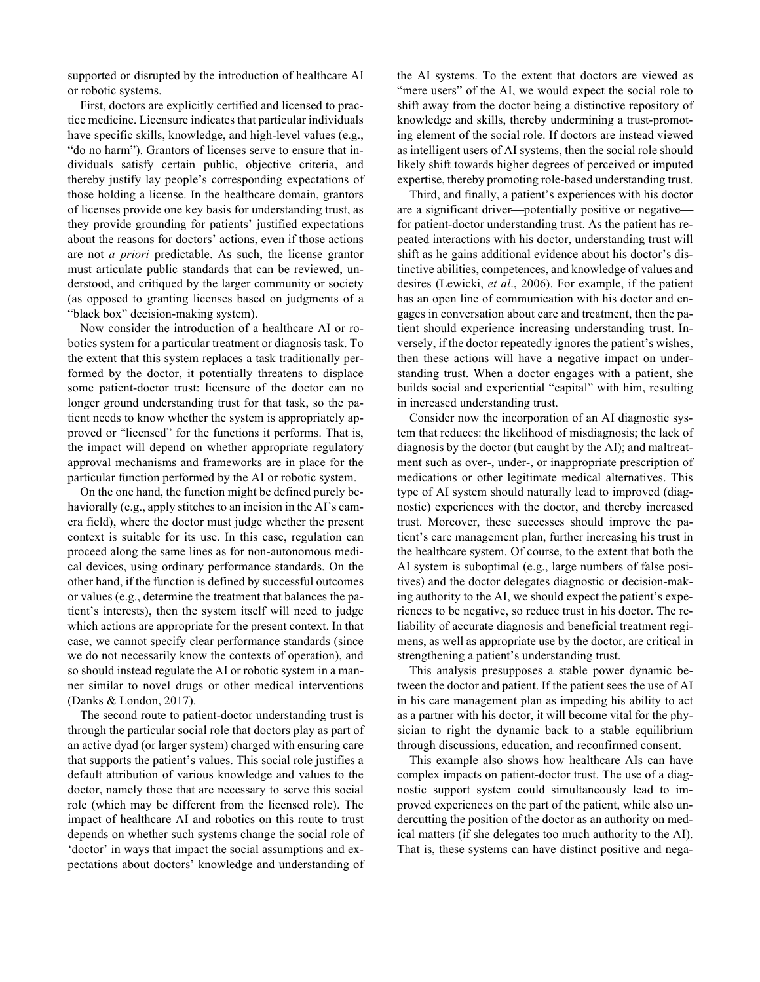supported or disrupted by the introduction of healthcare AI or robotic systems.

First, doctors are explicitly certified and licensed to practice medicine. Licensure indicates that particular individuals have specific skills, knowledge, and high-level values (e.g., "do no harm"). Grantors of licenses serve to ensure that individuals satisfy certain public, objective criteria, and thereby justify lay people's corresponding expectations of those holding a license. In the healthcare domain, grantors of licenses provide one key basis for understanding trust, as they provide grounding for patients' justified expectations about the reasons for doctors' actions, even if those actions are not *a priori* predictable. As such, the license grantor must articulate public standards that can be reviewed, understood, and critiqued by the larger community or society (as opposed to granting licenses based on judgments of a "black box" decision-making system).

Now consider the introduction of a healthcare AI or robotics system for a particular treatment or diagnosis task. To the extent that this system replaces a task traditionally performed by the doctor, it potentially threatens to displace some patient-doctor trust: licensure of the doctor can no longer ground understanding trust for that task, so the patient needs to know whether the system is appropriately approved or "licensed" for the functions it performs. That is, the impact will depend on whether appropriate regulatory approval mechanisms and frameworks are in place for the particular function performed by the AI or robotic system.

On the one hand, the function might be defined purely behaviorally (e.g., apply stitches to an incision in the AI's camera field), where the doctor must judge whether the present context is suitable for its use. In this case, regulation can proceed along the same lines as for non-autonomous medical devices, using ordinary performance standards. On the other hand, if the function is defined by successful outcomes or values (e.g., determine the treatment that balances the patient's interests), then the system itself will need to judge which actions are appropriate for the present context. In that case, we cannot specify clear performance standards (since we do not necessarily know the contexts of operation), and so should instead regulate the AI or robotic system in a manner similar to novel drugs or other medical interventions (Danks & London, 2017).

The second route to patient-doctor understanding trust is through the particular social role that doctors play as part of an active dyad (or larger system) charged with ensuring care that supports the patient's values. This social role justifies a default attribution of various knowledge and values to the doctor, namely those that are necessary to serve this social role (which may be different from the licensed role). The impact of healthcare AI and robotics on this route to trust depends on whether such systems change the social role of 'doctor' in ways that impact the social assumptions and expectations about doctors' knowledge and understanding of the AI systems. To the extent that doctors are viewed as "mere users" of the AI, we would expect the social role to shift away from the doctor being a distinctive repository of knowledge and skills, thereby undermining a trust-promoting element of the social role. If doctors are instead viewed as intelligent users of AI systems, then the social role should likely shift towards higher degrees of perceived or imputed expertise, thereby promoting role-based understanding trust.

Third, and finally, a patient's experiences with his doctor are a significant driver—potentially positive or negativefor patient-doctor understanding trust. As the patient has repeated interactions with his doctor, understanding trust will shift as he gains additional evidence about his doctor's distinctive abilities, competences, and knowledge of values and desires (Lewicki, *et al*., 2006). For example, if the patient has an open line of communication with his doctor and engages in conversation about care and treatment, then the patient should experience increasing understanding trust. Inversely, if the doctor repeatedly ignores the patient's wishes, then these actions will have a negative impact on understanding trust. When a doctor engages with a patient, she builds social and experiential "capital" with him, resulting in increased understanding trust.

Consider now the incorporation of an AI diagnostic system that reduces: the likelihood of misdiagnosis; the lack of diagnosis by the doctor (but caught by the AI); and maltreatment such as over-, under-, or inappropriate prescription of medications or other legitimate medical alternatives. This type of AI system should naturally lead to improved (diagnostic) experiences with the doctor, and thereby increased trust. Moreover, these successes should improve the patient's care management plan, further increasing his trust in the healthcare system. Of course, to the extent that both the AI system is suboptimal (e.g., large numbers of false positives) and the doctor delegates diagnostic or decision-making authority to the AI, we should expect the patient's experiences to be negative, so reduce trust in his doctor. The reliability of accurate diagnosis and beneficial treatment regimens, as well as appropriate use by the doctor, are critical in strengthening a patient's understanding trust.

This analysis presupposes a stable power dynamic between the doctor and patient. If the patient sees the use of AI in his care management plan as impeding his ability to act as a partner with his doctor, it will become vital for the physician to right the dynamic back to a stable equilibrium through discussions, education, and reconfirmed consent.

This example also shows how healthcare AIs can have complex impacts on patient-doctor trust. The use of a diagnostic support system could simultaneously lead to improved experiences on the part of the patient, while also undercutting the position of the doctor as an authority on medical matters (if she delegates too much authority to the AI). That is, these systems can have distinct positive and nega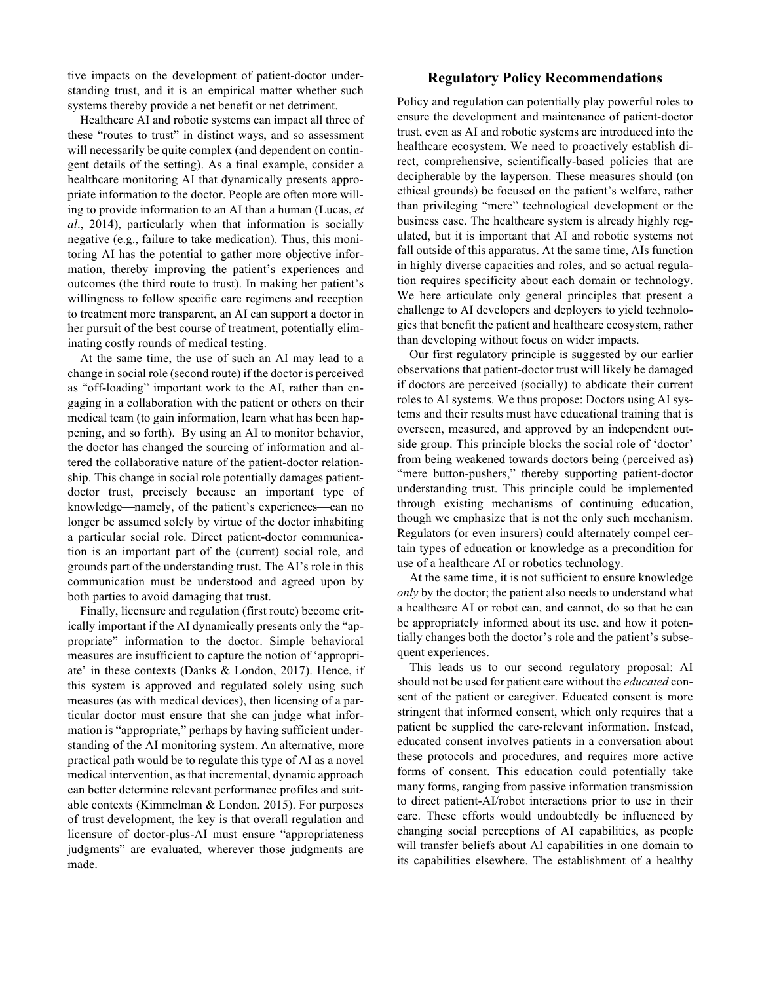tive impacts on the development of patient-doctor understanding trust, and it is an empirical matter whether such systems thereby provide a net benefit or net detriment.

Healthcare AI and robotic systems can impact all three of these "routes to trust" in distinct ways, and so assessment will necessarily be quite complex (and dependent on contingent details of the setting). As a final example, consider a healthcare monitoring AI that dynamically presents appropriate information to the doctor. People are often more willing to provide information to an AI than a human (Lucas, *et al*., 2014), particularly when that information is socially negative (e.g., failure to take medication). Thus, this monitoring AI has the potential to gather more objective information, thereby improving the patient's experiences and outcomes (the third route to trust). In making her patient's willingness to follow specific care regimens and reception to treatment more transparent, an AI can support a doctor in her pursuit of the best course of treatment, potentially eliminating costly rounds of medical testing.

At the same time, the use of such an AI may lead to a change in social role (second route) if the doctor is perceived as "off-loading" important work to the AI, rather than engaging in a collaboration with the patient or others on their medical team (to gain information, learn what has been happening, and so forth). By using an AI to monitor behavior, the doctor has changed the sourcing of information and altered the collaborative nature of the patient-doctor relationship. This change in social role potentially damages patientdoctor trust, precisely because an important type of knowledge—namely, of the patient's experiences—can no longer be assumed solely by virtue of the doctor inhabiting a particular social role. Direct patient-doctor communication is an important part of the (current) social role, and grounds part of the understanding trust. The AI's role in this communication must be understood and agreed upon by both parties to avoid damaging that trust.

Finally, licensure and regulation (first route) become critically important if the AI dynamically presents only the "appropriate" information to the doctor. Simple behavioral measures are insufficient to capture the notion of 'appropriate' in these contexts (Danks & London, 2017). Hence, if this system is approved and regulated solely using such measures (as with medical devices), then licensing of a particular doctor must ensure that she can judge what information is "appropriate," perhaps by having sufficient understanding of the AI monitoring system. An alternative, more practical path would be to regulate this type of AI as a novel medical intervention, as that incremental, dynamic approach can better determine relevant performance profiles and suitable contexts (Kimmelman & London, 2015). For purposes of trust development, the key is that overall regulation and licensure of doctor-plus-AI must ensure "appropriateness judgments" are evaluated, wherever those judgments are made.

# **Regulatory Policy Recommendations**

Policy and regulation can potentially play powerful roles to ensure the development and maintenance of patient-doctor trust, even as AI and robotic systems are introduced into the healthcare ecosystem. We need to proactively establish direct, comprehensive, scientifically-based policies that are decipherable by the layperson. These measures should (on ethical grounds) be focused on the patient's welfare, rather than privileging "mere" technological development or the business case. The healthcare system is already highly regulated, but it is important that AI and robotic systems not fall outside of this apparatus. At the same time, AIs function in highly diverse capacities and roles, and so actual regulation requires specificity about each domain or technology. We here articulate only general principles that present a challenge to AI developers and deployers to yield technologies that benefit the patient and healthcare ecosystem, rather than developing without focus on wider impacts.

Our first regulatory principle is suggested by our earlier observations that patient-doctor trust will likely be damaged if doctors are perceived (socially) to abdicate their current roles to AI systems. We thus propose: Doctors using AI systems and their results must have educational training that is overseen, measured, and approved by an independent outside group. This principle blocks the social role of 'doctor' from being weakened towards doctors being (perceived as) "mere button-pushers," thereby supporting patient-doctor understanding trust. This principle could be implemented through existing mechanisms of continuing education, though we emphasize that is not the only such mechanism. Regulators (or even insurers) could alternately compel certain types of education or knowledge as a precondition for use of a healthcare AI or robotics technology.

At the same time, it is not sufficient to ensure knowledge *only* by the doctor; the patient also needs to understand what a healthcare AI or robot can, and cannot, do so that he can be appropriately informed about its use, and how it potentially changes both the doctor's role and the patient's subsequent experiences.

This leads us to our second regulatory proposal: AI should not be used for patient care without the *educated* consent of the patient or caregiver. Educated consent is more stringent that informed consent, which only requires that a patient be supplied the care-relevant information. Instead, educated consent involves patients in a conversation about these protocols and procedures, and requires more active forms of consent. This education could potentially take many forms, ranging from passive information transmission to direct patient-AI/robot interactions prior to use in their care. These efforts would undoubtedly be influenced by changing social perceptions of AI capabilities, as people will transfer beliefs about AI capabilities in one domain to its capabilities elsewhere. The establishment of a healthy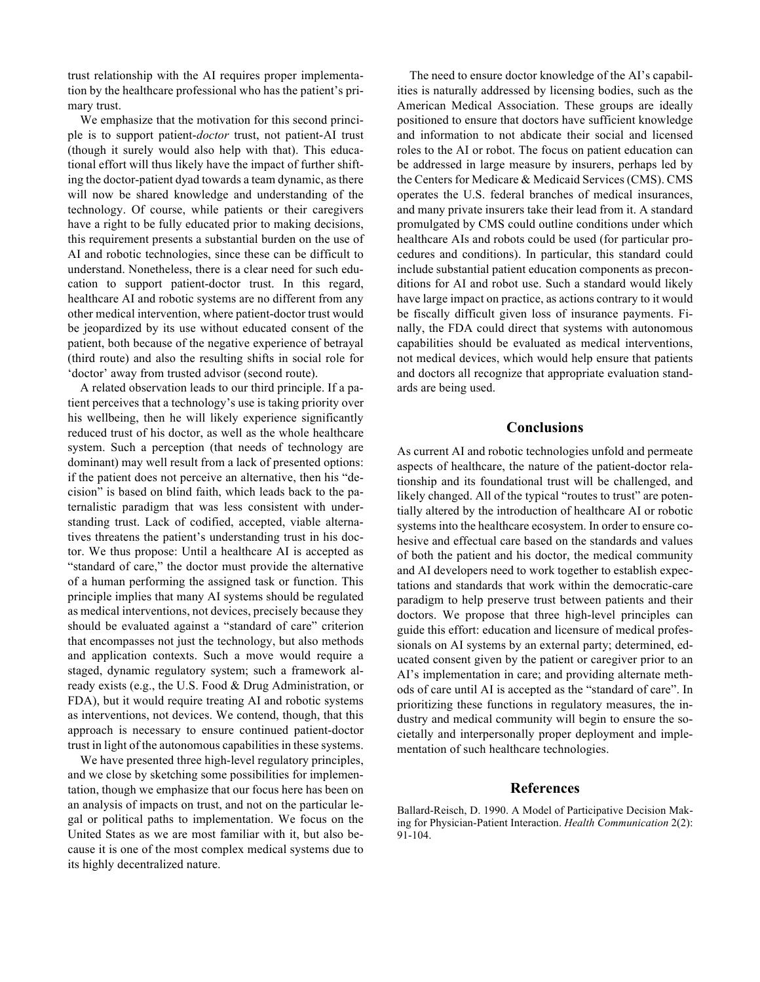trust relationship with the AI requires proper implementation by the healthcare professional who has the patient's primary trust.

We emphasize that the motivation for this second principle is to support patient-*doctor* trust, not patient-AI trust (though it surely would also help with that). This educational effort will thus likely have the impact of further shifting the doctor-patient dyad towards a team dynamic, as there will now be shared knowledge and understanding of the technology. Of course, while patients or their caregivers have a right to be fully educated prior to making decisions, this requirement presents a substantial burden on the use of AI and robotic technologies, since these can be difficult to understand. Nonetheless, there is a clear need for such education to support patient-doctor trust. In this regard, healthcare AI and robotic systems are no different from any other medical intervention, where patient-doctor trust would be jeopardized by its use without educated consent of the patient, both because of the negative experience of betrayal (third route) and also the resulting shifts in social role for 'doctor' away from trusted advisor (second route).

A related observation leads to our third principle. If a patient perceives that a technology's use is taking priority over his wellbeing, then he will likely experience significantly reduced trust of his doctor, as well as the whole healthcare system. Such a perception (that needs of technology are dominant) may well result from a lack of presented options: if the patient does not perceive an alternative, then his "decision" is based on blind faith, which leads back to the paternalistic paradigm that was less consistent with understanding trust. Lack of codified, accepted, viable alternatives threatens the patient's understanding trust in his doctor. We thus propose: Until a healthcare AI is accepted as "standard of care," the doctor must provide the alternative of a human performing the assigned task or function. This principle implies that many AI systems should be regulated as medical interventions, not devices, precisely because they should be evaluated against a "standard of care" criterion that encompasses not just the technology, but also methods and application contexts. Such a move would require a staged, dynamic regulatory system; such a framework already exists (e.g., the U.S. Food & Drug Administration, or FDA), but it would require treating AI and robotic systems as interventions, not devices. We contend, though, that this approach is necessary to ensure continued patient-doctor trust in light of the autonomous capabilities in these systems.

We have presented three high-level regulatory principles, and we close by sketching some possibilities for implementation, though we emphasize that our focus here has been on an analysis of impacts on trust, and not on the particular legal or political paths to implementation. We focus on the United States as we are most familiar with it, but also because it is one of the most complex medical systems due to its highly decentralized nature.

The need to ensure doctor knowledge of the AI's capabilities is naturally addressed by licensing bodies, such as the American Medical Association. These groups are ideally positioned to ensure that doctors have sufficient knowledge and information to not abdicate their social and licensed roles to the AI or robot. The focus on patient education can be addressed in large measure by insurers, perhaps led by the Centers for Medicare & Medicaid Services (CMS). CMS operates the U.S. federal branches of medical insurances, and many private insurers take their lead from it. A standard promulgated by CMS could outline conditions under which healthcare AIs and robots could be used (for particular procedures and conditions). In particular, this standard could include substantial patient education components as preconditions for AI and robot use. Such a standard would likely have large impact on practice, as actions contrary to it would be fiscally difficult given loss of insurance payments. Finally, the FDA could direct that systems with autonomous capabilities should be evaluated as medical interventions, not medical devices, which would help ensure that patients and doctors all recognize that appropriate evaluation standards are being used.

## **Conclusions**

As current AI and robotic technologies unfold and permeate aspects of healthcare, the nature of the patient-doctor relationship and its foundational trust will be challenged, and likely changed. All of the typical "routes to trust" are potentially altered by the introduction of healthcare AI or robotic systems into the healthcare ecosystem. In order to ensure cohesive and effectual care based on the standards and values of both the patient and his doctor, the medical community and AI developers need to work together to establish expectations and standards that work within the democratic-care paradigm to help preserve trust between patients and their doctors. We propose that three high-level principles can guide this effort: education and licensure of medical professionals on AI systems by an external party; determined, educated consent given by the patient or caregiver prior to an AI's implementation in care; and providing alternate methods of care until AI is accepted as the "standard of care". In prioritizing these functions in regulatory measures, the industry and medical community will begin to ensure the societally and interpersonally proper deployment and implementation of such healthcare technologies.

#### **References**

Ballard-Reisch, D. 1990. A Model of Participative Decision Making for Physician-Patient Interaction. *Health Communication* 2(2): 91-104.